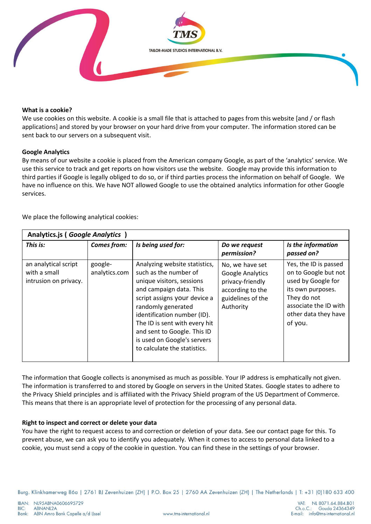

## **What is a cookie?**

We use cookies on this website. A cookie is a small file that is attached to pages from this website [and / or flash applications] and stored by your browser on your hard drive from your computer. The information stored can be sent back to our servers on a subsequent visit.

## **Google Analytics**

By means of our website a cookie is placed from the American company Google, as part of the 'analytics' service. We use this service to track and get reports on how visitors use the website. Google may provide this information to third parties if Google is legally obliged to do so, or if third parties process the information on behalf of Google. We have no influence on this. We have NOT allowed Google to use the obtained analytics information for other Google services.

We place the following analytical cookies:

| Analytics.js (Google Analytics)                               |                          |                                                                                                                                                                                                                                                                                                                                    |                                                                                                                      |                                                                                                                                                                     |
|---------------------------------------------------------------|--------------------------|------------------------------------------------------------------------------------------------------------------------------------------------------------------------------------------------------------------------------------------------------------------------------------------------------------------------------------|----------------------------------------------------------------------------------------------------------------------|---------------------------------------------------------------------------------------------------------------------------------------------------------------------|
| This is:                                                      | <b>Comes from:</b>       | Is being used for:                                                                                                                                                                                                                                                                                                                 | Do we request<br>permission?                                                                                         | Is the information<br>passed on?                                                                                                                                    |
| an analytical script<br>with a small<br>intrusion on privacy. | google-<br>analytics.com | Analyzing website statistics,<br>such as the number of<br>unique visitors, sessions<br>and campaign data. This<br>script assigns your device a<br>randomly generated<br>identification number (ID).<br>The ID is sent with every hit<br>and sent to Google. This ID<br>is used on Google's servers<br>to calculate the statistics. | No, we have set<br><b>Google Analytics</b><br>privacy-friendly<br>according to the<br>guidelines of the<br>Authority | Yes, the ID is passed<br>on to Google but not<br>used by Google for<br>its own purposes.<br>They do not<br>associate the ID with<br>other data they have<br>of you. |

The information that Google collects is anonymised as much as possible. Your IP address is emphatically not given. The information is transferred to and stored by Google on servers in the United States. Google states to adhere to the Privacy Shield principles and is affiliated with the Privacy Shield program of the US Department of Commerce. This means that there is an appropriate level of protection for the processing of any personal data.

## **Right to inspect and correct or delete your data**

You have the right to request access to and correction or deletion of your data. See our contact page for this. To prevent abuse, we can ask you to identify you adequately. When it comes to access to personal data linked to a cookie, you must send a copy of the cookie in question. You can find these in the settings of your browser.